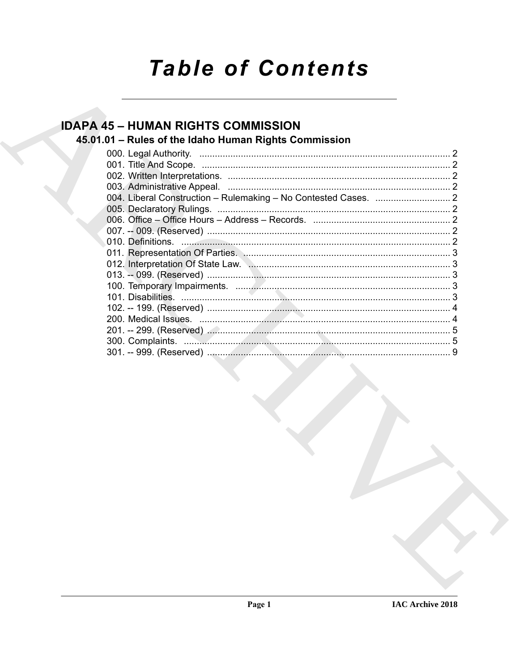# **Table of Contents**

## **IDAPA 45 - HUMAN RIGHTS COMMISSION**

## 45.01.01 - Rules of the Idaho Human Rights Commission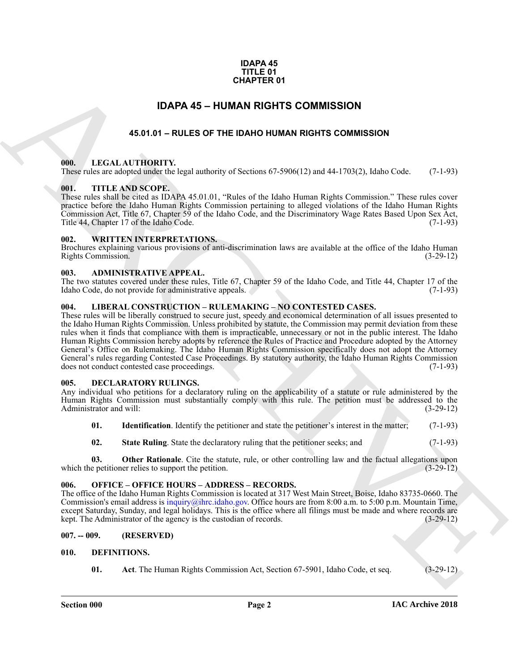### **IDAPA 45 TITLE 01 CHAPTER 01**

### **IDAPA 45 – HUMAN RIGHTS COMMISSION**

### **45.01.01 – RULES OF THE IDAHO HUMAN RIGHTS COMMISSION**

### <span id="page-1-15"></span><span id="page-1-2"></span><span id="page-1-1"></span><span id="page-1-0"></span>**000. LEGAL AUTHORITY.**

These rules are adopted under the legal authority of Sections 67-5906(12) and 44-1703(2), Idaho Code. (7-1-93)

### <span id="page-1-18"></span><span id="page-1-3"></span>**001. TITLE AND SCOPE.**

These rules shall be cited as IDAPA 45.01.01, "Rules of the Idaho Human Rights Commission." These rules cover practice before the Idaho Human Rights Commission pertaining to alleged violations of the Idaho Human Rights Commission Act, Title 67, Chapter 59 of the Idaho Code, and the Discriminatory Wage Rates Based Upon Sex Act, Title 44, Chapter 17 of the Idaho Code.

### <span id="page-1-19"></span><span id="page-1-4"></span>**002. WRITTEN INTERPRETATIONS.**

Brochures explaining various provisions of anti-discrimination laws are available at the office of the Idaho Human Rights Commission. (3-29-12)

### <span id="page-1-11"></span><span id="page-1-5"></span>**003. ADMINISTRATIVE APPEAL.**

The two statutes covered under these rules, Title 67, Chapter 59 of the Idaho Code, and Title 44, Chapter 17 of the Idaho Code, do not provide for administrative appeals. (7-1-93)

### <span id="page-1-16"></span><span id="page-1-6"></span>**004. LIBERAL CONSTRUCTION – RULEMAKING – NO CONTESTED CASES.**

**CHAPTER 01**<br> **EXAMPLES OF THE DAMA RIGHTS COMMISSION**<br> **ARCHIVE CONTINUES AND ARCHIVES COMMISSION**<br> **ARCHIVE CONTINUES AND ARCHIVES COMMISSION**<br> **ARCHIVE CONTINUES AND ARCHIVES COMMISSION**<br> **ARCHIVE CONTINUES AND ARCHIVE** These rules will be liberally construed to secure just, speedy and economical determination of all issues presented to the Idaho Human Rights Commission. Unless prohibited by statute, the Commission may permit deviation from these rules when it finds that compliance with them is impracticable, unnecessary or not in the public interest. The Idaho Human Rights Commission hereby adopts by reference the Rules of Practice and Procedure adopted by the Attorney General's Office on Rulemaking. The Idaho Human Rights Commission specifically does not adopt the Attorney General's rules regarding Contested Case Proceedings. By statutory authority, the Idaho Human Rights Commission does not conduct contested case proceedings. (7-1-93)

### <span id="page-1-12"></span><span id="page-1-7"></span>**005. DECLARATORY RULINGS.**

Any individual who petitions for a declaratory ruling on the applicability of a statute or rule administered by the Human Rights Commission must substantially comply with this rule. The petition must be addressed to the Administrator and will: (3-29-12)

- **01.** Identification. Identify the petitioner and state the petitioner's interest in the matter; (7-1-93)
- **02.** State Ruling. State the declaratory ruling that the petitioner seeks; and (7-1-93)

**03. Other Rationale**. Cite the statute, rule, or other controlling law and the factual allegations upon e petitioner relies to support the petition. (3-29-12) which the petitioner relies to support the petition.

### <span id="page-1-17"></span><span id="page-1-8"></span>**006. OFFICE – OFFICE HOURS – ADDRESS – RECORDS.**

The office of the Idaho Human Rights Commission is located at 317 West Main Street, Boise, Idaho 83735-0660. The Commission's email address is inquiry@ihrc.idaho.gov. Office hours are from 8:00 a.m. to 5:00 p.m. Mountain Time, except Saturday, Sunday, and legal holidays. This is the office where all filings must be made and where records are kept. The Administrator of the agency is the custodian of records. (3-29-12) kept. The Administrator of the agency is the custodian of records.

### <span id="page-1-9"></span>**007. -- 009. (RESERVED)**

### <span id="page-1-10"></span>**010. DEFINITIONS.**

<span id="page-1-14"></span><span id="page-1-13"></span>**01. Act**. The Human Rights Commission Act, Section 67-5901, Idaho Code, et seq. (3-29-12)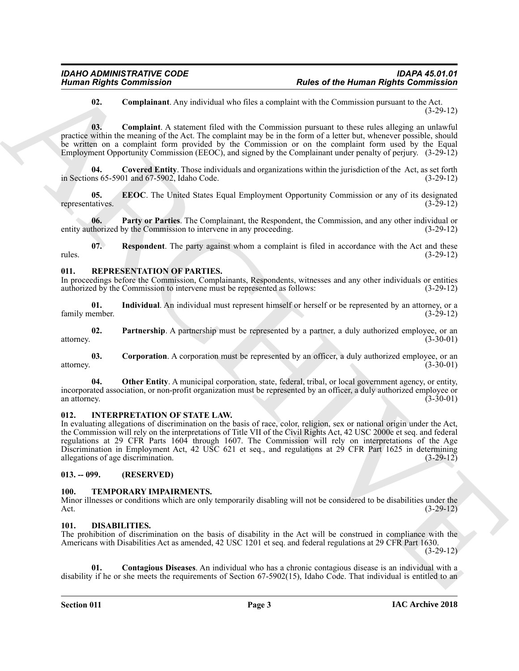### <span id="page-2-6"></span><span id="page-2-5"></span>**02. Complainant**. Any individual who files a complaint with the Commission pursuant to the Act. (3-29-12)

**03. Complaint**. A statement filed with the Commission pursuant to these rules alleging an unlawful practice within the meaning of the Act. The complaint may be in the form of a letter but, whenever possible, should be written on a complaint form provided by the Commission or on the complaint form used by the Equal Employment Opportunity Commission (EEOC), and signed by the Complainant under penalty of perjury. (3-29-12)

<span id="page-2-7"></span>**04. Covered Entity**. Those individuals and organizations within the jurisdiction of the Act, as set forth in Sections 65-5901 and 67-5902, Idaho Code. (3-29-12)

<span id="page-2-8"></span>**05. EEOC**. The United States Equal Employment Opportunity Commission or any of its designated tatives. (3-29-12) representatives.

<span id="page-2-9"></span>**06. Party or Parties**. The Complainant, the Respondent, the Commission, and any other individual or entity authorized by the Commission to intervene in any proceeding. (3-29-12)

<span id="page-2-10"></span>**07. Respondent**. The party against whom a complaint is filed in accordance with the Act and these rules. (3-29-12)

### <span id="page-2-14"></span><span id="page-2-0"></span>**011. REPRESENTATION OF PARTIES.**

In proceedings before the Commission, Complainants, Respondents, witnesses and any other individuals or entities authorized by the Commission to intervene must be represented as follows: (3-29-12) authorized by the Commission to intervene must be represented as follows:

<span id="page-2-16"></span>**01.** Individual. An individual must represent himself or herself or be represented by an attorney, or a nember. (3-29-12) family member.

<span id="page-2-18"></span>**02. Partnership**. A partnership must be represented by a partner, a duly authorized employee, or an attorney. (3-30-01)

<span id="page-2-15"></span>**03. Corporation**. A corporation must be represented by an officer, a duly authorized employee, or an attorney. (3-30-01)

<span id="page-2-17"></span>**04.** Other Entity. A municipal corporation, state, federal, tribal, or local government agency, or entity, incorporated association, or non-profit organization must be represented by an officer, a duly authorized employee or an attorney. (3-30-01)

### <span id="page-2-13"></span><span id="page-2-1"></span>**012. INTERPRETATION OF STATE LAW.**

Human Rights Commission<br>
18. Completion Associates that the Blue scores and the Blue Commission<br>
18. Completion Associates that the Geometrican policies of the Blue Scores and the Commission<br>
19. Completion Associates tha In evaluating allegations of discrimination on the basis of race, color, religion, sex or national origin under the Act, the Commission will rely on the interpretations of Title VII of the Civil Rights Act, 42 USC 2000e et seq. and federal regulations at 29 CFR Parts 1604 through 1607. The Commission will rely on interpretations of the Age Discrimination in Employment Act, 42 USC 621 et seq., and regulations at 29 CFR Part 1625 in determining allegations of age discrimination. (3-29-12)

### <span id="page-2-2"></span>**013. -- 099. (RESERVED)**

### <span id="page-2-19"></span><span id="page-2-3"></span>**100. TEMPORARY IMPAIRMENTS.**

Minor illnesses or conditions which are only temporarily disabling will not be considered to be disabilities under the Act. (3-29-12) Act. (3-29-12)

### <span id="page-2-11"></span><span id="page-2-4"></span>**101. DISABILITIES.**

The prohibition of discrimination on the basis of disability in the Act will be construed in compliance with the Americans with Disabilities Act as amended, 42 USC 1201 et seq. and federal regulations at 29 CFR Part 1630.

(3-29-12)

<span id="page-2-12"></span>**01. Contagious Diseases**. An individual who has a chronic contagious disease is an individual with a disability if he or she meets the requirements of Section 67-5902(15), Idaho Code. That individual is entitled to an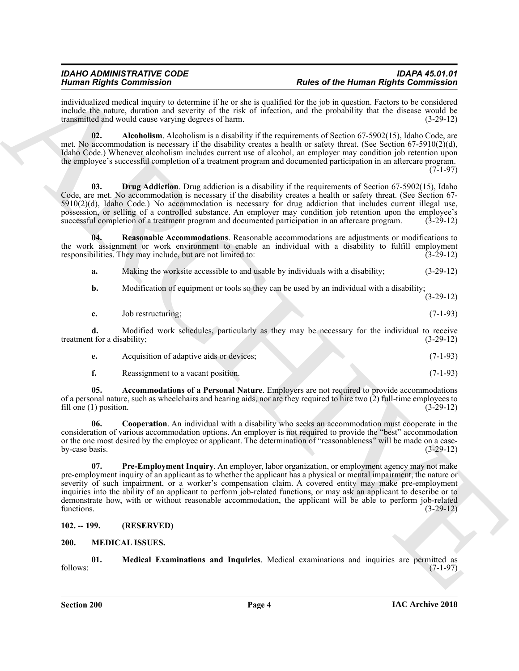individualized medical inquiry to determine if he or she is qualified for the job in question. Factors to be considered include the nature, duration and severity of the risk of infection, and the probability that the disease would be transmitted and would cause varying degrees of harm. (3-29-12)

<span id="page-3-3"></span>**02.** Alcoholism. Alcoholism is a disability if the requirements of Section 67-5902(15), Idaho Code, are met. No accommodation is necessary if the disability creates a health or safety threat. (See Section 67-5910(2)(d), Idaho Code.) Whenever alcoholism includes current use of alcohol, an employer may condition job retention upon the employee's successful completion of a treatment program and documented participation in an aftercare program. (7-1-97)

<span id="page-3-5"></span>**03. Drug Addiction**. Drug addiction is a disability if the requirements of Section 67-5902(15), Idaho Code, are met. No accommodation is necessary if the disability creates a health or safety threat. (See Section 67-  $5910(2)(d)$ , Idaho Code.) No accommodation is necessary for drug addiction that includes current illegal use, possession, or selling of a controlled substance. An employer may condition job retention upon the employee's successful completion of a treatment program and documented participation in an aftercare program. (3-29-12)

**04. Reasonable Accommodations**. Reasonable accommodations are adjustments or modifications to the work assignment or work environment to enable an individual with a disability to fulfill employment responsibilities. They may include, but are not limited to: (3-29-12)

<span id="page-3-7"></span>**a.** Making the worksite accessible to and usable by individuals with a disability;  $(3-29-12)$ 

**b.** Modification of equipment or tools so they can be used by an individual with a disability;

(3-29-12)

|  | Job restructuring; |  |  | $(7-1-93)$ |
|--|--------------------|--|--|------------|
|--|--------------------|--|--|------------|

**d.** Modified work schedules, particularly as they may be necessary for the individual to receive treatment for a disability; (3-29-12)

|  | Acquisition of adaptive aids or devices: |  |  | $(7-1-93)$ |
|--|------------------------------------------|--|--|------------|
|--|------------------------------------------|--|--|------------|

<span id="page-3-4"></span><span id="page-3-2"></span>**f.** Reassignment to a vacant position. (7-1-93)

**05. Accommodations of a Personal Nature**. Employers are not required to provide accommodations of a personal nature, such as wheelchairs and hearing aids, nor are they required to hire two  $(2)$  full-time employees to fill one  $(1)$  position.  $(3-29-12)$ fill one  $(1)$  position.

<span id="page-3-6"></span>**06. Cooperation**. An individual with a disability who seeks an accommodation must cooperate in the consideration of various accommodation options. An employer is not required to provide the "best" accommodation or the one most desired by the employee or applicant. The determination of "reasonableness" will be made on a caseby-case basis.  $(3-29-12)$ 

Human Rights Contribute to the same of the burning interaction of the same of the burning Rights Contribute into the same of the same of the same of the same of the same of the same of the same of the same of the same of **07. Pre-Employment Inquiry**. An employer, labor organization, or employment agency may not make pre-employment inquiry of an applicant as to whether the applicant has a physical or mental impairment, the nature or severity of such impairment, or a worker's compensation claim. A covered entity may make pre-employment inquiries into the ability of an applicant to perform job-related functions, or may ask an applicant to describe or to demonstrate how, with or without reasonable accommodation, the applicant will be able to perform job-related functions.  $(3-29-12)$ 

### <span id="page-3-0"></span>**102. -- 199. (RESERVED)**

### <span id="page-3-8"></span><span id="page-3-1"></span>**200. MEDICAL ISSUES.**

<span id="page-3-9"></span>**01. Medical Examinations and Inquiries**. Medical examinations and inquiries are permitted as follows: (7-1-97)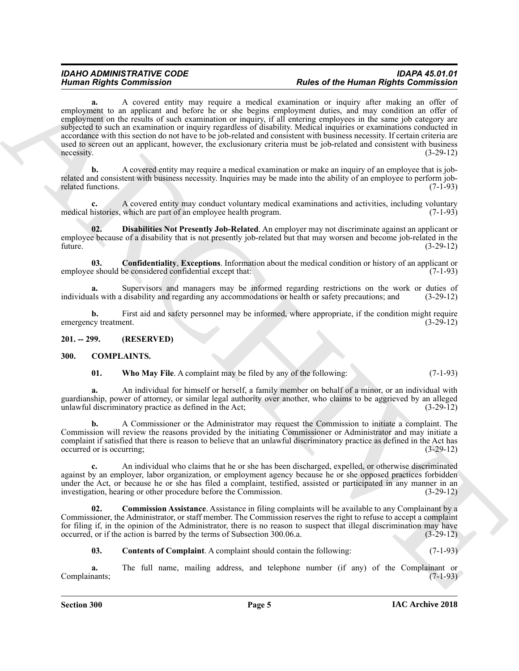### *IDAHO ADMINISTRATIVE CODE IDAPA 45.01.01 Human Rights Commission Rules of the Human Rights Commission*

Human Rights Commission Commission Commission of the two plane of the thermal Rights Commission and the complete of the complete of the complete of the complete of the complete of the complete of the complete of the compl **a.** A covered entity may require a medical examination or inquiry after making an offer of employment to an applicant and before he or she begins employment duties, and may condition an offer of employment on the results of such examination or inquiry, if all entering employees in the same job category are subjected to such an examination or inquiry regardless of disability. Medical inquiries or examinations conducted in accordance with this section do not have to be job-related and consistent with business necessity. If certain criteria are used to screen out an applicant, however, the exclusionary criteria must be job-related and consistent with business necessity. (3-29-12)  $n = \frac{1}{2}$  (3-29-12)

**b.** A covered entity may require a medical examination or make an inquiry of an employee that is jobrelated and consistent with business necessity. Inquiries may be made into the ability of an employee to perform job-<br>related functions. (7-1-93) related functions.

**c.** A covered entity may conduct voluntary medical examinations and activities, including voluntary medical histories, which are part of an employee health program. (7-1-93)

<span id="page-4-7"></span>**02. Disabilities Not Presently Job-Related**. An employer may not discriminate against an applicant or employee because of a disability that is not presently job-related but that may worsen and become job-related in the future. (3-29-12)

<span id="page-4-6"></span>**03. Confidentiality**, **Exceptions**. Information about the medical condition or history of an applicant or employee should be considered confidential except that: (7-1-93)

**a.** Supervisors and managers may be informed regarding restrictions on the work or duties of individuals with a disability and regarding any accommodations or health or safety precautions; and (3-29-12)

**b.** First aid and safety personnel may be informed, where appropriate, if the condition might require emergency treatment. (3-29-12)

<span id="page-4-0"></span>**201. -- 299. (RESERVED)**

### <span id="page-4-1"></span>**300. COMPLAINTS.**

<span id="page-4-5"></span><span id="page-4-2"></span>

| 01. |  | <b>Who May File.</b> A complaint may be filed by any of the following: | $(7-1-93)$ |
|-----|--|------------------------------------------------------------------------|------------|
|-----|--|------------------------------------------------------------------------|------------|

**a.** An individual for himself or herself, a family member on behalf of a minor, or an individual with guardianship, power of attorney, or similar legal authority over another, who claims to be aggrieved by an alleged unlawful discriminatory practice as defined in the Act; (3-29-12)

**b.** A Commissioner or the Administrator may request the Commission to initiate a complaint. The Commission will review the reasons provided by the initiating Commissioner or Administrator and may initiate a complaint if satisfied that there is reason to believe that an unlawful discriminatory practice as defined in the Act has occurred or is occurring; (3-29-12)

**c.** An individual who claims that he or she has been discharged, expelled, or otherwise discriminated against by an employer, labor organization, or employment agency because he or she opposed practices forbidden under the Act, or because he or she has filed a complaint, testified, assisted or participated in any manner in an investigation, hearing or other procedure before the Commission. (3-29-12)

**02. Commission Assistance**. Assistance in filing complaints will be available to any Complainant by a Commissioner, the Administrator, or staff member. The Commission reserves the right to refuse to accept a complaint for filing if, in the opinion of the Administrator, there is no reason to suspect that illegal discrimination may have occurred, or if the action is barred by the terms of Subsection 300.06.a. (3-29-12)

<span id="page-4-4"></span><span id="page-4-3"></span>**03.** Contents of Complaint. A complaint should contain the following: (7-1-93)

**a.** The full name, mailing address, and telephone number (if any) of the Complainant or Complainants; (7-1-93)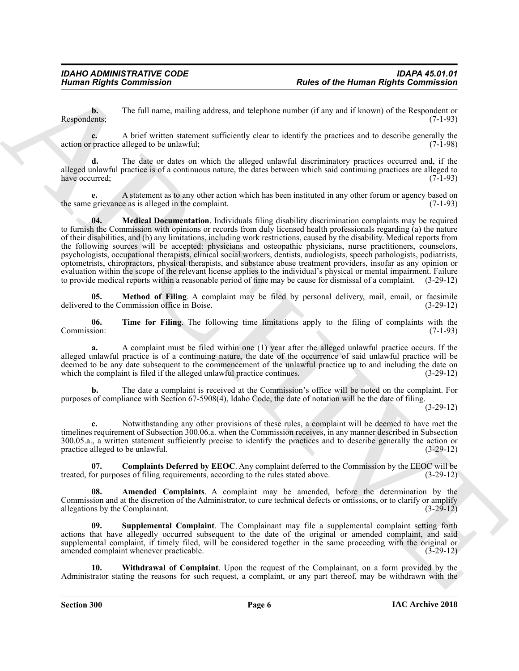**b.** The full name, mailing address, and telephone number (if any and if known) of the Respondent or Respondents; (7-1-93)

**c.** A brief written statement sufficiently clear to identify the practices and to describe generally the action or practice alleged to be unlawful; (7-1-98)

**d.** The date or dates on which the alleged unlawful discriminatory practices occurred and, if the alleged unlawful practice is of a continuous nature, the dates between which said continuing practices are alleged to have occurred; (7-1-93)

<span id="page-5-2"></span>**e.** A statement as to any other action which has been instituted in any other forum or agency based on grievance as is alleged in the complaint. the same grievance as is alleged in the complaint.

Human Rights Commission<br>
The Add note, mating ecloses, and obeybnes camber (i.l.ey. and i.l.e.wear of the Human Rights Commission<br>
Respectively. The Add note, mating ecloses, and obeybnes camber (i.l.ey. and i.l.as of the **04. Medical Documentation**. Individuals filing disability discrimination complaints may be required to furnish the Commission with opinions or records from duly licensed health professionals regarding (a) the nature of their disabilities, and (b) any limitations, including work restrictions, caused by the disability. Medical reports from the following sources will be accepted: physicians and osteopathic physicians, nurse practitioners, counselors, psychologists, occupational therapists, clinical social workers, dentists, audiologists, speech pathologists, podiatrists, optometrists, chiropractors, physical therapists, and substance abuse treatment providers, insofar as any opinion or evaluation within the scope of the relevant license applies to the individual's physical or mental impairment. Failure to provide medical reports within a reasonable period of time may be cause for dismissal of a complaint. (3-29-12)

<span id="page-5-3"></span>**05. Method of Filing**. A complaint may be filed by personal delivery, mail, email, or facsimile delivered to the Commission office in Boise. (3-29-12)

<span id="page-5-5"></span>**06. Time for Filing**. The following time limitations apply to the filing of complaints with the sion: (7-1-93) Commission:

**a.** A complaint must be filed within one (1) year after the alleged unlawful practice occurs. If the alleged unlawful practice is of a continuing nature, the date of the occurrence of said unlawful practice will be deemed to be any date subsequent to the commencement of the unlawful practice up to and including the date on which the complaint is filed if the alleged unlawful practice continues. (3-29-12)

**b.** The date a complaint is received at the Commission's office will be noted on the complaint. For purposes of compliance with Section 67-5908(4), Idaho Code, the date of notation will be the date of filing.

(3-29-12)

**c.** Notwithstanding any other provisions of these rules, a complaint will be deemed to have met the timelines requirement of Subsection 300.06.a. when the Commission receives, in any manner described in Subsection 300.05.a., a written statement sufficiently precise to identify the practices and to describe generally the action or practice alleged to be unlawful. (3-29-12)

<span id="page-5-1"></span>**07. Complaints Deferred by EEOC**. Any complaint deferred to the Commission by the EEOC will be treated, for purposes of filing requirements, according to the rules stated above. (3-29-12)

<span id="page-5-0"></span>Amended Complaints. A complaint may be amended, before the determination by the Commission and at the discretion of the Administrator, to cure technical defects or omissions, or to clarify or amplify allegations by the Complainant. (3-29-12)

<span id="page-5-4"></span>Supplemental Complaint. The Complainant may file a supplemental complaint setting forth actions that have allegedly occurred subsequent to the date of the original or amended complaint, and said supplemental complaint, if timely filed, will be considered together in the same proceeding with the original or amended complaint whenever practicable. (3-29-12)

<span id="page-5-6"></span>**10. Withdrawal of Complaint**. Upon the request of the Complainant, on a form provided by the Administrator stating the reasons for such request, a complaint, or any part thereof, may be withdrawn with the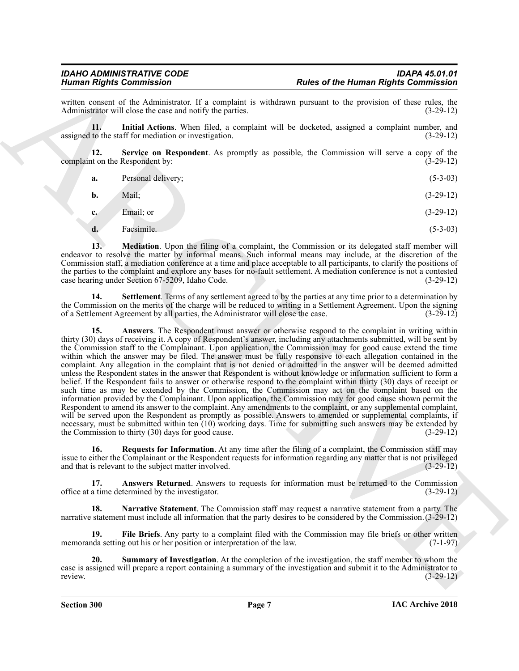written consent of the Administrator. If a complaint is withdrawn pursuant to the provision of these rules, the Administrator will close the case and notify the parties. (3-29-12) Administrator will close the case and notify the parties.

<span id="page-6-3"></span>**11. Initial Actions**. When filed, a complaint will be docketed, assigned a complaint number, and assigned to the staff for mediation or investigation. (3-29-12)

**12. Service on Respondent**. As promptly as possible, the Commission will serve a copy of the complaint on the Respondent by: (3-29-12)

<span id="page-6-7"></span>

| а. | Personal delivery; | $(5-3-03)$ |  |
|----|--------------------|------------|--|
|    |                    |            |  |

| Mail;<br><b>b.</b> | $(3-29-12)$ |  |
|--------------------|-------------|--|
|--------------------|-------------|--|

**c.** Email; or (3-29-12)

<span id="page-6-4"></span>**d.** Facsimile. (5-3-03)

**13.** Mediation. Upon the filing of a complaint, the Commission or its delegated staff member will endeavor to resolve the matter by informal means. Such informal means may include, at the discretion of the Commission staff, a mediation conference at a time and place acceptable to all participants, to clarify the positions of the parties to the complaint and explore any bases for no-fault settlement. A mediation conference is not a contested case hearing under Section 67-5209, Idaho Code. (3-29-12) case hearing under Section 67-5209, Idaho Code.

<span id="page-6-8"></span><span id="page-6-1"></span>**14. Settlement**. Terms of any settlement agreed to by the parties at any time prior to a determination by the Commission on the merits of the charge will be reduced to writing in a Settlement Agreement. Upon the signing of a Settlement Agreement by all parties, the Administrator will close the case. (3-29-12)

Hence of the Henna Rights Commission<br>
From Commission Commission<br>
Administration (1,4 requising to estimate the properties of the Henna Rights Commission<br>
Administration (1,4 requising to estimate the properties of the Sy **15. Answers**. The Respondent must answer or otherwise respond to the complaint in writing within thirty (30) days of receiving it. A copy of Respondent's answer, including any attachments submitted, will be sent by the Commission staff to the Complainant. Upon application, the Commission may for good cause extend the time within which the answer may be filed. The answer must be fully responsive to each allegation contained in the complaint. Any allegation in the complaint that is not denied or admitted in the answer will be deemed admitted unless the Respondent states in the answer that Respondent is without knowledge or information sufficient to form a belief. If the Respondent fails to answer or otherwise respond to the complaint within thirty (30) days of receipt or such time as may be extended by the Commission, the Commission may act on the complaint based on the information provided by the Complainant. Upon application, the Commission may for good cause shown permit the Respondent to amend its answer to the complaint. Any amendments to the complaint, or any supplemental complaint, will be served upon the Respondent as promptly as possible. Answers to amended or supplemental complaints, if necessary, must be submitted within ten (10) working days. Time for submitting such answers may be extended by<br>the Commission to thirty (30) days for good cause. the Commission to thirty  $(30)$  days for good cause.

<span id="page-6-6"></span>**16. Requests for Information**. At any time after the filing of a complaint, the Commission staff may issue to either the Complainant or the Respondent requests for information regarding any matter that is not privileged<br>and that is relevant to the subject matter involved. (3-29-12) and that is relevant to the subject matter involved.

<span id="page-6-0"></span>**17. Answers Returned**. Answers to requests for information must be returned to the Commission office at a time determined by the investigator. (3-29-12)

<span id="page-6-5"></span>**18. Narrative Statement**. The Commission staff may request a narrative statement from a party. The narrative statement must include all information that the party desires to be considered by the Commission.(3-29-12)

<span id="page-6-2"></span>**19. File Briefs**. Any party to a complaint filed with the Commission may file briefs or other written memoranda setting out his or her position or interpretation of the law. (7-1-97)

<span id="page-6-9"></span>**20. Summary of Investigation**. At the completion of the investigation, the staff member to whom the case is assigned will prepare a report containing a summary of the investigation and submit it to the Administrator to review. (3-29-12)

**Section 300 Page 7**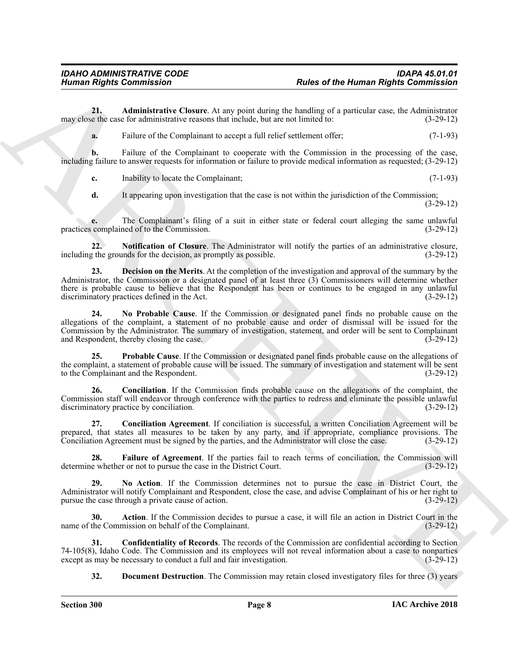**21. Administrative Closure**. At any point during the handling of a particular case, the Administrator may close the case for administrative reasons that include, but are not limited to: (3-29-12)

<span id="page-7-1"></span>**a.** Failure of the Complainant to accept a full relief settlement offer; (7-1-93)

**b.** Failure of the Complainant to cooperate with the Commission in the processing of the case, including failure to answer requests for information or failure to provide medical information as requested; (3-29-12)

**c.** Inability to locate the Complainant; (7-1-93)

<span id="page-7-10"></span>**d.** It appearing upon investigation that the case is not within the jurisdiction of the Commission; (3-29-12)

**e.** The Complainant's filing of a suit in either state or federal court alleging the same unlawful complained of to the Commission. (3-29-12) practices complained of to the Commission.

**22. Notification of Closure**. The Administrator will notify the parties of an administrative closure, including the grounds for the decision, as promptly as possible. (3-29-12)

<span id="page-7-9"></span><span id="page-7-5"></span>**23. Decision on the Merits**. At the completion of the investigation and approval of the summary by the Administrator, the Commission or a designated panel of at least three (3) Commissioners will determine whether there is probable cause to believe that the Respondent has been or continues to be engaged in any unlawful discriminatory practices defined in the Act. (3-29-12)

Human Rights Commission<br>
Numan Rights Commission<br>
Numan Rights Commission<br>
Numan Rights Commission<br>
The Archives Control in the Commission<br>
The Commission Commission Commission Commission Commission Commission<br>
The Commis **24. No Probable Cause**. If the Commission or designated panel finds no probable cause on the allegations of the complaint, a statement of no probable cause and order of dismissal will be issued for the Commission by the Administrator. The summary of investigation, statement, and order will be sent to Complainant and Respondent, thereby closing the case.

<span id="page-7-11"></span>**25. Probable Cause**. If the Commission or designated panel finds probable cause on the allegations of the complaint, a statement of probable cause will be issued. The summary of investigation and statement will be sent to the Complainant and the Respondent. (3-29-12)

<span id="page-7-2"></span>**26. Conciliation**. If the Commission finds probable cause on the allegations of the complaint, the Commission staff will endeavor through conference with the parties to redress and eliminate the possible unlawful discriminatory practice by conciliation. (3-29-12)

<span id="page-7-3"></span>**27. Conciliation Agreement**. If conciliation is successful, a written Conciliation Agreement will be prepared, that states all measures to be taken by any party, and if appropriate, compliance provisions. The Conciliation Agreement must be signed by the parties, and the Administrator will close the case. (3-29-12)

<span id="page-7-7"></span>**28.** Failure of Agreement. If the parties fail to reach terms of conciliation, the Commission will e whether or not to pursue the case in the District Court. (3-29-12) determine whether or not to pursue the case in the District Court.

<span id="page-7-8"></span>**29. No Action**. If the Commission determines not to pursue the case in District Court, the Administrator will notify Complainant and Respondent, close the case, and advise Complainant of his or her right to pursue the case through a private cause of action. (3-29-12)

<span id="page-7-0"></span>**30. Action**. If the Commission decides to pursue a case, it will file an action in District Court in the name of the Commission on behalf of the Complainant. (3-29-12)

**31. Confidentiality of Records**. The records of the Commission are confidential according to Section 74-105(8), Idaho Code. The Commission and its employees will not reveal information about a case to nonparties except as may be necessary to conduct a full and fair investigation. (3-29-12) except as may be necessary to conduct a full and fair investigation.

<span id="page-7-6"></span><span id="page-7-4"></span>**32. Document Destruction**. The Commission may retain closed investigatory files for three (3) years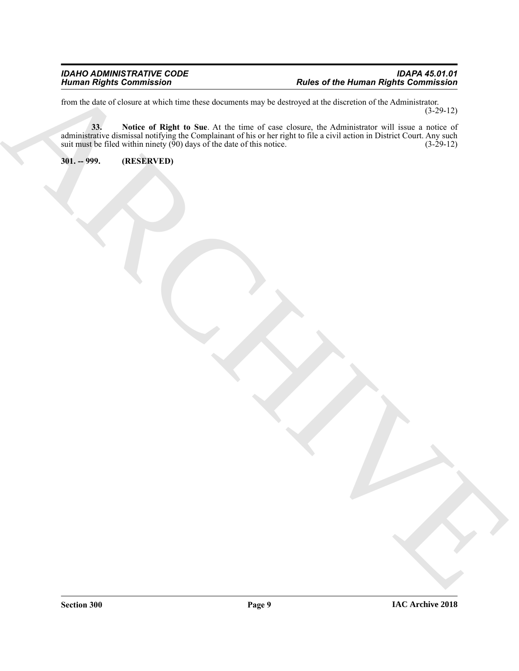<span id="page-8-1"></span>from the date of closure at which time these documents may be destroyed at the discretion of the Administrator. (3-29-12)

The the term of the first of the prior of the term of the term of the contract of the contract of the state of the state of the state of the state of the state of the state of the state of the state of the state of the sta **33. Notice of Right to Sue**. At the time of case closure, the Administrator will issue a notice of administrative dismissal notifying the Complainant of his or her right to file a civil action in District Court. Any such suit must be filed within ninety  $(\bar{90})$  days of the date of this notice. (3-29-12)

<span id="page-8-0"></span>**301. -- 999. (RESERVED)**